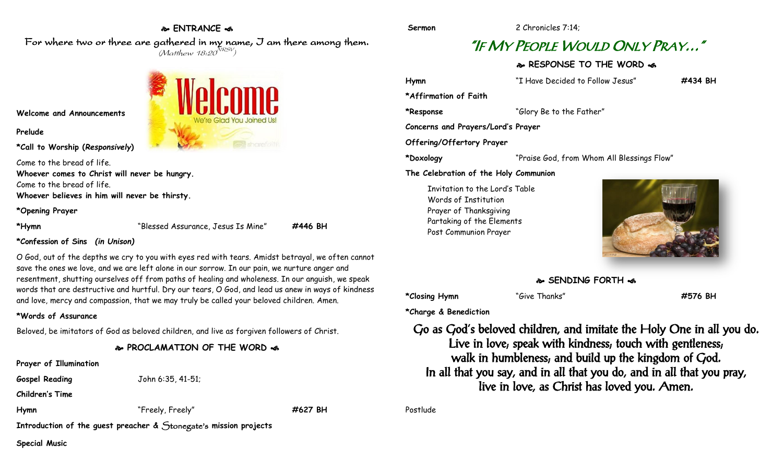#### **ENTRANCE**

For where two or three are gathered in my name, I am there among them.  $(M$ atthew 18:20 $^{NRSV})$ 



**Welcome and Announcements**

**Prelude**

**\*Call to Worship (***Responsively***)** 

Come to the bread of life. **Whoever comes to Christ will never be hungry.** Come to the bread of life. **Whoever believes in him will never be thirsty.**

**\*Opening Prayer**

**\*Hymn** "Blessed Assurance, Jesus Is Mine" **#446 BH**

#### **\*Confession of Sins** *(in Unison)*

O God, out of the depths we cry to you with eyes red with tears. Amidst betrayal, we often cannot save the ones we love, and we are left alone in our sorrow. In our pain, we nurture anger and resentment, shutting ourselves off from paths of healing and wholeness. In our anguish, we speak words that are destructive and hurtful. Dry our tears, O God, and lead us anew in ways of kindness and love, mercy and compassion, that we may truly be called your beloved children. Amen.

#### **\*Words of Assurance**

Beloved, be imitators of God as beloved children, and live as forgiven followers of Christ.

#### **PROCLAMATION OF THE WORD**

**Prayer of Illumination**

**Children's Time**

**Gospel Reading** John 6:35, 41-51;

**Hymn** "Freely, Freely" **#627 BH**

**Introduction of the guest preacher &** Stonegate's **mission projects**

**Special Music** 

# **Sermon** 2 Chronicles 7:14;

# "IF MY PEOPLE WOULD ONLY PRAY…"

### **RESPONSE TO THE WORD**  $\sim$

**Hymn** "I Have Decided to Follow Jesus" **#434 BH \*Affirmation of Faith \*Response** "Glory Be to the Father" **Concerns and Prayers/Lord's Prayer Offering/Offertory Prayer \*Doxology** "Praise God, from Whom All Blessings Flow" **The Celebration of the Holy Communion** Invitation to the Lord's Table Words of Institution Prayer of Thanksgiving



### **SENDING FORTH**

**\*Closing Hymn** "Give Thanks" **#576 BH**

Partaking of the Elements Post Communion Prayer

**\*Charge & Benediction**

Go as God's beloved children, and imitate the Holy One in all you do. Live in love, speak with kindness, touch with gentleness, walk in humbleness; and build up the kingdom of God. In all that you say, and in all that you do, and in all that you pray, live in love, as Christ has loved you. Amen.

Postlude